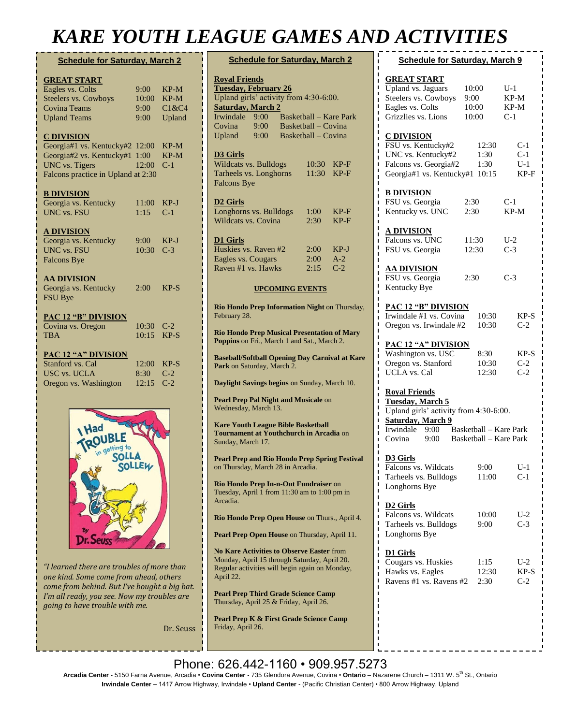## *KARE YOUTH LEAGUE GAMES AND ACTIVITIES*

| <b>Schedule for Saturday, March 2</b> |            |        |  |  |
|---------------------------------------|------------|--------|--|--|
| <b>GREAT START</b>                    |            |        |  |  |
| Eagles vs. Colts                      | 9:00       | $KP-M$ |  |  |
| Steelers vs. Cowboys                  | 10:00      | $KP-M$ |  |  |
| <b>Covina Teams</b>                   | 9:00       | C1&C4  |  |  |
| <b>Upland Teams</b>                   | 9:00       | Upland |  |  |
| <u>C DIVISION</u>                     |            |        |  |  |
| Georgia#1 vs. Kentucky#2 12:00        |            | $KP-M$ |  |  |
| Georgia#2 vs. Kentucky#1 1:00         |            | $KP-M$ |  |  |
| <b>UNC</b> vs. Tigers                 | 12:00      | $C-1$  |  |  |
| Falcons practice in Upland at 2:30    |            |        |  |  |
|                                       |            |        |  |  |
| <b>B DIVISION</b>                     |            |        |  |  |
| Georgia vs. Kentucky                  | 11:00      | $KP-J$ |  |  |
| <b>UNC vs. FSU</b>                    | 1:15       | $C-1$  |  |  |
| <b>A DIVISION</b>                     |            |        |  |  |
| Georgia vs. Kentucky                  | $9:00^{-}$ | $KP-J$ |  |  |
| <b>UNC vs. FSU</b>                    | 10:30      | $C-3$  |  |  |
| <b>Falcons Bye</b>                    |            |        |  |  |
|                                       |            |        |  |  |
| <b>AA DIVISION</b>                    |            |        |  |  |
| Georgia vs. Kentucky                  | 2:00       | $KP-S$ |  |  |
| <b>FSU Bye</b>                        |            |        |  |  |
| <b>PAC 12 "B" DIVISION</b>            |            |        |  |  |
| Covina vs. Oregon                     | 10:30      | $C-2$  |  |  |
| <b>TBA</b>                            | 10:15      | $KP-S$ |  |  |
|                                       |            |        |  |  |
| <b>PAC 12 "A" DIVISION</b>            |            |        |  |  |
| Stanford vs. Cal                      | 12:00      | $KP-S$ |  |  |
| <b>USC vs. UCLA</b>                   | 8:30       | $C-2$  |  |  |
| Oregon vs. Washington                 | 12:15      | $C-2$  |  |  |
|                                       |            |        |  |  |
|                                       |            |        |  |  |



*"I learned there are troubles of more than one kind. Some come from ahead, others come from behind. But I've bought a big bat. I'm all ready, you see. Now my troubles are going to have trouble with me.*

Dr. Seuss

| <b>Schedule for Saturday, March 2</b>                                                                                                                                                                                                                             |                      |                        |  |  |
|-------------------------------------------------------------------------------------------------------------------------------------------------------------------------------------------------------------------------------------------------------------------|----------------------|------------------------|--|--|
| <b>Royal Friends</b><br><b>Tuesday, February 26</b><br>Upland girls' activity from 4:30-6:00.<br><b>Saturday, March 2</b><br>Irwindale<br><b>Basketball - Kare Park</b><br>9:00<br>Basketball - Covina<br>Covina<br>9:00<br>Basketball – Covina<br>Upland<br>9:00 |                      |                        |  |  |
| <b>D3 Girls</b><br>Wildcats vs. Bulldogs<br>Tarheels vs. Longhorns<br><b>Falcons Bye</b>                                                                                                                                                                          | 10:30<br>11:30       | KP-F<br>KP-F           |  |  |
| <b>D2 Girls</b><br>Longhorns vs. Bulldogs<br><b>Wildcats vs. Covina</b>                                                                                                                                                                                           | 1:00<br>2:30         | KP-F<br>KP-F           |  |  |
| <b>D1 Girls</b><br>Huskies vs. Raven #2<br>Eagles vs. Cougars<br>Raven #1 vs. Hawks                                                                                                                                                                               | 2:00<br>2:00<br>2:15 | KP-J<br>$A-2$<br>$C-2$ |  |  |
| <b>UPCOMING EVENTS</b>                                                                                                                                                                                                                                            |                      |                        |  |  |
| Rio Hondo Prep Information Night on Thursday,<br>February 28.                                                                                                                                                                                                     |                      |                        |  |  |
| <b>Rio Hondo Prep Musical Presentation of Mary</b><br>Poppins on Fri., March 1 and Sat., March 2.                                                                                                                                                                 |                      |                        |  |  |
| <b>Baseball/Softball Opening Day Carnival at Kare</b><br>Park on Saturday, March 2.                                                                                                                                                                               |                      |                        |  |  |
| Daylight Savings begins on Sunday, March 10.                                                                                                                                                                                                                      |                      |                        |  |  |
| Pearl Prep Pal Night and Musicale on<br>Wednesday, March 13.                                                                                                                                                                                                      |                      |                        |  |  |
| <b>Kare Youth League Bible Basketball</b><br>Tournament at Youthchurch in Arcadia on<br>Sunday, March 17.                                                                                                                                                         |                      |                        |  |  |
| <b>Pearl Prep and Rio Hondo Prep Spring Festival</b><br>on Thursday, March 28 in Arcadia.                                                                                                                                                                         |                      |                        |  |  |
| Rio Hondo Prep In-n-Out Fundraiser on<br>Tuesday, April 1 from 11:30 am to 1:00 pm in<br>Arcadia.                                                                                                                                                                 |                      |                        |  |  |
| Rio Hondo Prep Open House on Thurs., April 4.                                                                                                                                                                                                                     |                      |                        |  |  |
| Pearl Prep Open House on Thursday, April 11.                                                                                                                                                                                                                      |                      |                        |  |  |
| <b>No Kare Activities to Observe Easter from</b><br>Monday, April 15 through Saturday, April 20.<br>Regular activities will begin again on Monday,<br>April 22.                                                                                                   |                      |                        |  |  |
| <b>Pearl Prep Third Grade Science Camp</b><br>Thursday, April 25 & Friday, April 26.                                                                                                                                                                              |                      |                        |  |  |
| Pearl Prep K & First Grade Science Camp<br>Friday, April 26.                                                                                                                                                                                                      |                      |                        |  |  |

| <i><b>TULLITILID</b></i>                                                                                                                                                                                                            |                                 |                                |                                 |  |  |
|-------------------------------------------------------------------------------------------------------------------------------------------------------------------------------------------------------------------------------------|---------------------------------|--------------------------------|---------------------------------|--|--|
| <b>Schedule for Saturday, March 9</b>                                                                                                                                                                                               |                                 |                                |                                 |  |  |
| <b>GREAT START</b><br><b>Upland vs. Jaguars</b><br>ı<br>Steelers vs. Cowboys<br>Eagles vs. Colts<br>Grizzlies vs. Lions                                                                                                             | 10:00<br>9:00<br>10:00<br>10:00 | $U-1$<br>KP-M<br>KP-M<br>$C-1$ |                                 |  |  |
| ı<br><b>C DIVISION</b><br>FSU vs. Kentucky#2<br>ı<br>ı<br>UNC vs. Kentucky#2<br>Falcons vs. Georgia#2<br>ı<br>Georgia#1 vs. Kentucky#1 10:15                                                                                        | 1:30<br>1:30                    | 12:30                          | $C-1$<br>$C-1$<br>$U-1$<br>KP-F |  |  |
| ı<br><b>B DIVISION</b><br>FSU vs. Georgia<br>ı<br>ı<br>Kentucky vs. UNC                                                                                                                                                             | 2:30<br>2:30                    | C-1<br>KP-M                    |                                 |  |  |
| <u>A DIVISION</u><br>Falcons vs. UNC<br>ı<br>ı<br>FSU vs. Georgia                                                                                                                                                                   | 11:30<br>12:30                  | $U-2$<br>$C-3$                 |                                 |  |  |
| ı<br><u>AA DIVISION</u><br>FSU vs. Georgia<br>ı<br>ı<br>Kentucky Bye<br>ı                                                                                                                                                           | 2:30                            | $C-3$                          |                                 |  |  |
| <b>PAC 12 "B" DIVISION</b><br>Irwindale #1 vs. Covina<br>ı<br>ı<br>Oregon vs. Irwindale #2                                                                                                                                          |                                 | 10:30<br>10:30                 | KP-S<br>$C-2$                   |  |  |
| <b>PAC 12 "A" DIVISION</b><br>Washington vs. USC<br>ı<br>Oregon vs. Stanford<br>ı<br><b>UCLA</b> vs. Cal                                                                                                                            | 8:30                            | 10:30<br>12:30                 | KP-S<br>$C-2$<br>$C-2$          |  |  |
| ı<br><b>Royal Friends</b><br>ı<br><b>Tuesday, March 5</b><br>ı<br>ı<br>Upland girls' activity from 4:30-6:00.<br>ı<br><b>Saturday</b> , March 9<br>ı<br>Basketball - Kare Park<br>Irwindale<br>$9:00^{-}$<br>Basketball - Kare Park |                                 |                                |                                 |  |  |
| Covina<br>9:00<br>ı<br>ı<br><b>D3 Girls</b><br>ı<br>ı<br>Falcons vs. Wildcats<br>Tarheels vs. Bulldogs<br>ı<br>ı<br>Longhorns Bye<br>ı                                                                                              | 9:00                            | 11:00                          | $U-1$<br>$C-1$                  |  |  |
| ı<br>ı<br>D <sub>2</sub> Girls<br>ı<br>Falcons vs. Wildcats<br>ı<br>ı<br>Tarheels vs. Bulldogs<br>ı<br>Longhorns Bye<br>ı<br>ı                                                                                                      | 9:00                            | 10:00                          | $U-2$<br>$C-3$                  |  |  |
| ı<br><b>D1 Girls</b><br>ı<br>ı<br>Cougars vs. Huskies<br>ı<br>Hawks vs. Eagles<br>ı<br>Ravens #1 vs. Ravens #2<br>ı<br>ı                                                                                                            | 1:15<br>2:30                    | 12:30                          | $U-2$<br>KP-S<br>$C-2$          |  |  |
| ı<br>ı<br>ı<br>ı                                                                                                                                                                                                                    |                                 |                                |                                 |  |  |

#### Phone: 626.442-1160 • 909.957.5273 **Kare Youth League Track Invitational** the

**Arcadia Center** - 5150 Farna Avenue, Arcadia • **Covina Center** - 735 Glendora Avenue, Covina • **Ontario** – Nazarene Church – 1311 W. 5th St., Ontario 4. **Irwindale Center** – 1417 Arrow Highway, Irwindale • **Upland Center** - (Pacific Christian Center) • 800 Arrow Highway, Upland